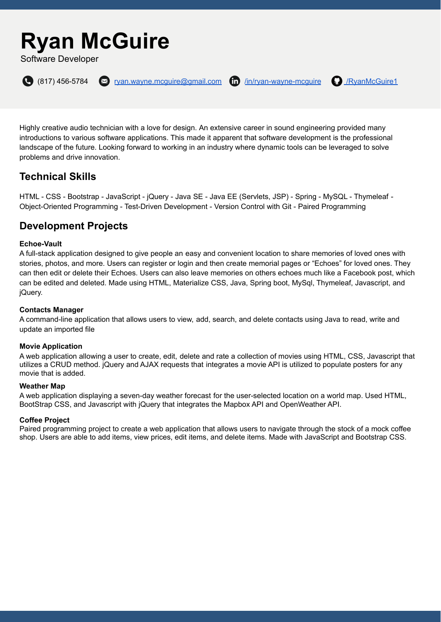# **Ryan McGuire**

Software Developer



 $\bigodot$  (817) 456-5784  $\bigodot$  [ryan.wayne.mcguire@gmail.com](mailto:ryan.wayne.mcguire@gmail.com)  $\bigodot$  [/in/ryan-wayne-mcguire](https://www.linkedin.com/in/ryan-wayne-mcguire/)  $\bigodot$  [/RyanMcGuire1](https://github.com/RyanMcGuire1)



Highly creative audio technician with a love for design. An extensive career in sound engineering provided many introductions to various software applications. This made it apparent that software development is the professional landscape of the future. Looking forward to working in an industry where dynamic tools can be leveraged to solve problems and drive innovation.

# **Technical Skills**

HTML - CSS - Bootstrap - JavaScript - jQuery - Java SE - Java EE (Servlets, JSP) - Spring - MySQL - Thymeleaf - Object-Oriented Programming - Test-Driven Development - Version Control with Git - Paired Programming

# **Development Projects**

#### **Echoe-Vault**

A full-stack application designed to give people an easy and convenient location to share memories of loved ones with stories, photos, and more. Users can register or login and then create memorial pages or "Echoes" for loved ones. They can then edit or delete their Echoes. Users can also leave memories on others echoes much like a Facebook post, which can be edited and deleted. Made using HTML, Materialize CSS, Java, Spring boot, MySql, Thymeleaf, Javascript, and jQuery.

#### **Contacts Manager**

A command-line application that allows users to view, add, search, and delete contacts using Java to read, write and update an imported file

#### **Movie Application**

A web application allowing a user to create, edit, delete and rate a collection of movies using HTML, CSS, Javascript that utilizes a CRUD method. jQuery and AJAX requests that integrates a movie API is utilized to populate posters for any movie that is added.

#### **Weather Map**

A web application displaying a seven-day weather forecast for the user-selected location on a world map. Used HTML, BootStrap CSS, and Javascript with jQuery that integrates the Mapbox API and OpenWeather API.

#### **Coffee Project**

Paired programming project to create a web application that allows users to navigate through the stock of a mock coffee shop. Users are able to add items, view prices, edit items, and delete items. Made with JavaScript and Bootstrap CSS.